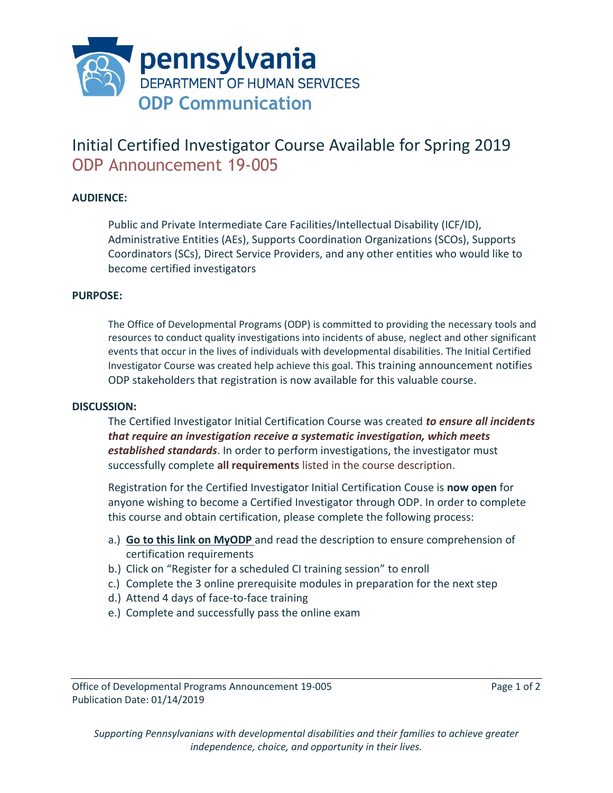

## Initial Certified Investigator Course Available for Spring 2019 ODP Announcement 19-005

## **AUDIENCE:**

Public and Private Intermediate Care Facilities/Intellectual Disability (ICF/ID), Administrative Entities (AEs), Supports Coordination Organizations (SCOs), Supports Coordinators (SCs), Direct Service Providers, and any other entities who would like to become certified investigators

## **PURPOSE:**

The Office of Developmental Programs (ODP) is committed to providing the necessary tools and resources to conduct quality investigations into incidents of abuse, neglect and other significant events that occur in the lives of individuals with developmental disabilities. The Initial Certified Investigator Course was created help achieve this goal. This training announcement notifies ODP stakeholders that registration is now available for this valuable course.

## **DISCUSSION:**

The Certified Investigator Initial Certification Course was created *to ensure all incidents that require an investigation receive a systematic investigation, which meets established standards*. In order to perform investigations, the investigator must successfully complete **all requirements** listed in the course description.

Registration for the Certified Investigator Initial Certification Couse is **now open** for anyone wishing to become a Certified Investigator through ODP. In order to complete this course and obtain certification, please complete the following process:

- a.) **Go to [this link on MyODP](https://www.myodp.org/course/view.php?id=1073)** and read the description to ensure comprehension of certification requirements
- b.) Click on "Register for a scheduled CI training session" to enroll
- c.) Complete the 3 online prerequisite modules in preparation for the next step
- d.) Attend 4 days of face-to-face training
- e.) Complete and successfully pass the online exam

*Supporting Pennsylvanians with developmental disabilities and their families to achieve greater independence, choice, and opportunity in their lives.*